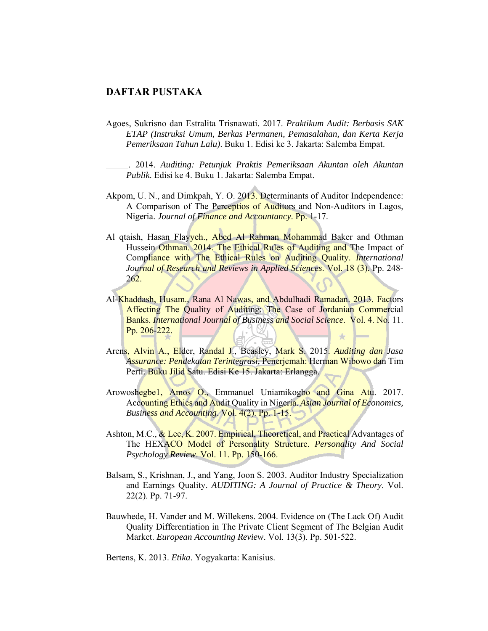## **DAFTAR PUSTAKA**

Agoes, Sukrisno dan Estralita Trisnawati. 2017. *Praktikum Audit: Berbasis SAK ETAP (Instruksi Umum, Berkas Permanen, Pemasalahan, dan Kerta Kerja Pemeriksaan Tahun Lalu)*. Buku 1. Edisi ke 3. Jakarta: Salemba Empat.

 . 2014. *Auditing: Petunjuk Praktis Pemeriksaan Akuntan oleh Akuntan Publik*. Edisi ke 4. Buku 1. Jakarta: Salemba Empat.

- Akpom, U. N., and Dimkpah, Y. O. 2013. Determinants of Auditor Independence: A Comparison of The Perceptios of Auditors and Non-Auditors in Lagos, Nigeria. *Journal of Finance and Accountancy*. Pp. 1-17.
- Al qtaish, Hasan Flayveh., Abed Al Rahman Mohammad Baker and Othman Hussein Othman. 2014. The Ethical Rules of Auditing and The Impact of Compliance with The Ethical Rules on Auditing Quality. *International Journal of Research and Reviews in Applied Sciences*. Vol. 18 (3). Pp. 248- 262.
- Al-Khaddash, Husam., Rana Al Nawas, and Abdulhadi Ramadan. 2013. Factors Affecting The Quality of Auditing: The Case of Jordanian Commercial Banks. *International Journal of Business and Social Science*. Vol. 4. No. 11. Pp. 206-222. ÷
- Arens, Alvin A., Elder, Randal J., Beasley, Mark S. 2015. *Auditing dan Jasa Assurance: Pendekatan Terintegrasi,* Penerjemah: Herman Wibowo dan Tim Perti. Buku Jilid Satu. Edisi Ke 15. Jakarta: Erlangga.
- Arowoshegbe1, Amos O., Emmanuel Uniamikogbo and Gina Atu. 2017. Accounting Ethics and Audit Quality in Nigeria. *Asian Journal of Economics, Business and Accounting*. Vol. 4(2). Pp. 1-15.
- Ashton, M.C., & Lee, K. 2007. Empirical, Theoretical, and Practical Advantages of The HEXACO Model of Personality Structure. *Personality And Social Psychology Review*. Vol. 11. Pp. 150-166.
- Balsam, S., Krishnan, J., and Yang, Joon S. 2003. Auditor Industry Specialization and Earnings Quality. *AUDITING: A Journal of Practice & Theory*. Vol. 22(2). Pp. 71-97.
- Bauwhede, H. Vander and M. Willekens. 2004. Evidence on (The Lack Of) Audit Quality Differentiation in The Private Client Segment of The Belgian Audit Market. *European Accounting Review*. Vol. 13(3). Pp. 501-522.

Bertens, K. 2013. *Etika*. Yogyakarta: Kanisius.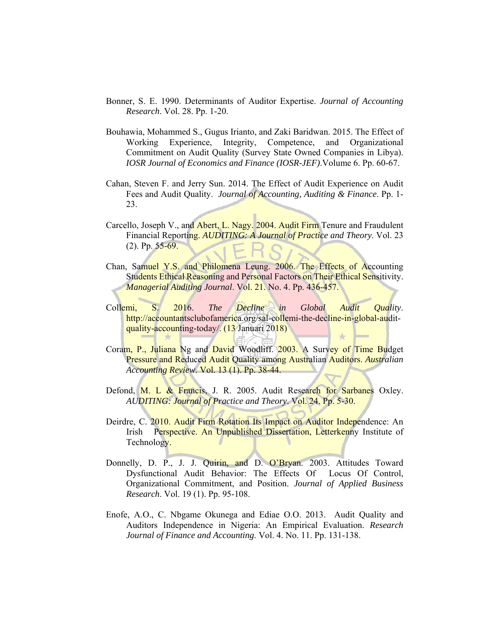- Bonner, S. E. 1990. Determinants of Auditor Expertise. *Journal of Accounting Research*. Vol. 28. Pp. 1-20.
- Bouhawia, Mohammed S., Gugus Irianto, and Zaki Baridwan. 2015. The Effect of Working Experience, Integrity, Competence, and Organizational Commitment on Audit Quality (Survey State Owned Companies in Libya). *IOSR Journal of Economics and Finance (IOSR-JEF)*.Volume 6. Pp. 60-67.
- Cahan, Steven F. and Jerry Sun. 2014. The Effect of Audit Experience on Audit Fees and Audit Quality. *Journal of Accounting, Auditing & Finance*. Pp. 1- 23.
- Carcello, Joseph V., and Abert, L. Nagy. 2004. Audit Firm Tenure and Fraudulent Financial Reporting. *AUDITING: A Journal of Practice and Theory*. Vol. 23  $(2)$ . Pp.  $55-69$ .
- Chan, Samuel Y.S. and Philomena Leung. 2006. The Effects of Accounting Students Ethical Reasoning and Personal Factors on Their Ethical Sensitivity. *Managerial Auditing Journal*. Vol. 21. No. 4. Pp. 436-457.
- Collemi, S. 2016. *The Decline in Global Audit Quality*. http://accountantsclubofamerica.org/sal-collemi-the-decline-in-global-auditquality-accounting-today/. (13 Januari 2018)
- Coram, P., Juliana Ng and David Woodliff. 2003. A Survey of Time Budget Pressure and Reduced Audit Quality among Australian Auditors. *Australian Accounting Review*. Vol. 13 (1). Pp. 38-44.
- Defond, M. L & Francis, J. R. 2005. Audit Research for Sarbanes Oxley. *AUDITING: Journal of Practice and Theory*. Vol. 24. Pp. 5-30.
- Deirdre, C. 2010. Audit Firm Rotation Its Impact on Auditor Independence: An Irish Perspective. An Unpublished Dissertation, Letterkenny Institute of Technology.
- Donnelly, D. P., J. J. Quirin, and D. O'Bryan. 2003. Attitudes Toward Dysfunctional Audit Behavior: The Effects Of Locus Of Control, Organizational Commitment, and Position. *Journal of Applied Business Research*. Vol. 19 (1). Pp. 95-108.
- Enofe, A.O., C. Nbgame Okunega and Ediae O.O. 2013. Audit Quality and Auditors Independence in Nigeria: An Empirical Evaluation. *Research Journal of Finance and Accounting*. Vol. 4. No. 11. Pp. 131-138.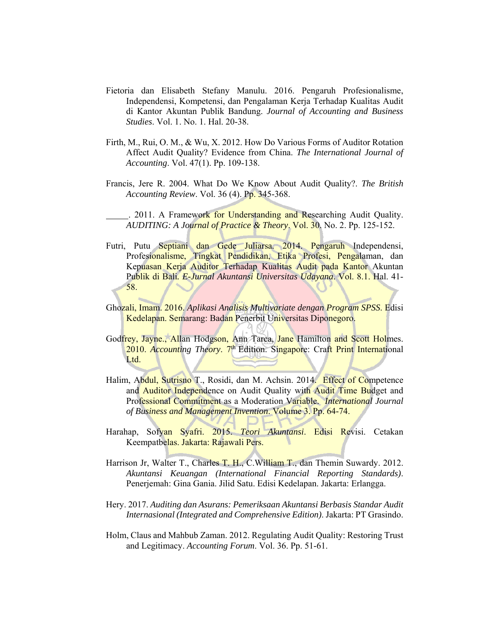- Fietoria dan Elisabeth Stefany Manulu. 2016. Pengaruh Profesionalisme, Independensi, Kompetensi, dan Pengalaman Kerja Terhadap Kualitas Audit di Kantor Akuntan Publik Bandung. *Journal of Accounting and Business Studies*. Vol. 1. No. 1. Hal. 20-38.
- Firth, M., Rui, O. M., & Wu, X. 2012. How Do Various Forms of Auditor Rotation Affect Audit Quality? Evidence from China. *The International Journal of Accounting*. Vol. 47(1). Pp. 109-138.
- Francis, Jere R. 2004. What Do We Know About Audit Quality?. *The British Accounting Review*. Vol. 36 (4). Pp. 345-368.

. 2011. A Framework for Understanding and Researching Audit Quality. *AUDITING: A Journal of Practice & Theory*. Vol. 30. No. 2. Pp. 125-152.

- Futri, Putu Septiani dan Gede Juliarsa. 2014. Pengaruh Independensi, Profesionalisme, Tingkat Pendidikan, Etika Profesi, Pengalaman, dan Kepuasan Kerja Auditor Terhadap Kualitas Audit pada Kantor Akuntan Publik di Bali*. E-Jurnal Akuntansi Universitas Udayana*. Vol. 8.1. Hal. 41- 58.
- Ghozali, Imam. 2016. *Aplikasi Analisis Multivariate dengan Program SPSS*. Edisi Kedelapan. Semarang: Badan Penerbit Universitas Diponegoro.
- Godfrey, Jayne., Allan Hodgson, Ann Tarca, Jane Hamilton and Scott Holmes. 2010. *Accounting Theory.* 7<sup>th</sup> Edition. Singapore: Craft Print International Ltd.
- Halim, Abdul, Sutrisno T., Rosidi, dan M. Achsin. 2014. Effect of Competence and **Auditor Independence on Audit Quality with Audit Time Budget and** Professional Commitment as a Moderation Variable. *International Journal of Business and Management Invention*. Volume 3. Pp. 64-74.
- Harahap, Sofyan Syafri. 2015. *Teori Akuntansi*. Edisi Revisi. Cetakan Keempatbelas. Jakarta: Rajawali Pers.
- Harrison Jr, Walter T., Charles T. H., C. William T., dan Themin Suwardy. 2012. *Akuntansi Keuangan (International Financial Reporting Standards)*. Penerjemah: Gina Gania. Jilid Satu. Edisi Kedelapan. Jakarta: Erlangga.
- Hery. 2017. *Auditing dan Asurans: Pemeriksaan Akuntansi Berbasis Standar Audit Internasional (Integrated and Comprehensive Edition)*. Jakarta: PT Grasindo.
- Holm, Claus and Mahbub Zaman. 2012. Regulating Audit Quality: Restoring Trust and Legitimacy. *Accounting Forum*. Vol. 36. Pp. 51-61.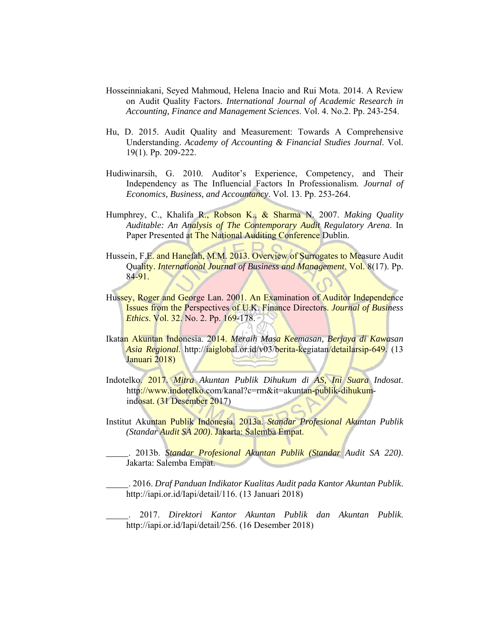- Hosseinniakani, Seyed Mahmoud, Helena Inacio and Rui Mota. 2014. A Review on Audit Quality Factors. *International Journal of Academic Research in Accounting, Finance and Management Sciences*. Vol. 4. No.2. Pp. 243-254.
- Hu, D. 2015. Audit Quality and Measurement: Towards A Comprehensive Understanding. *Academy of Accounting & Financial Studies Journal*. Vol. 19(1). Pp. 209-222.
- Hudiwinarsih, G. 2010. Auditor's Experience, Competency, and Their Independency as The Influencial Factors In Professionalism. *Journal of Economics, Business, and Accountancy*. Vol. 13. Pp. 253-264.
- Humphrey, C., Khalifa R., Robson K., & Sharma N. 2007. *Making Quality Auditable: An Analysis of The Contemporary Audit Regulatory Arena*. In Paper Presented at The National Auditing Conference Dublin.
- Hussein, F.E. and Hanefah, M.M. 2013. Overview of Surrogates to Measure Audit Quality. *International Journal of Business and Management*. Vol. 8(17). Pp. 84-91.
- Hussey, Roger and George Lan. 2001. An Examination of Auditor Independence Issues from the Perspectives of U.K. Finance Directors. *Journal of Business Ethics*. Vol. 32. No. 2. Pp. 169-178.
- Ikatan Akuntan Indonesia. 2014. *Meraih Masa Keemasan, Berjaya di Kawasan Asia Regional*. http://iaiglobal.or.id/v03/berita-kegiatan/detailarsip-649. (13 Januari 2018)
- Indotelko. 2017. *Mitra Akuntan Publik Dihukum di AS, Ini Suara Indosat*. http://www.indotelko.com/kanal?c=rm&it=akuntan-publik-dihukumindosat. (31 Desember 2017)
- Institut Akuntan Publik Indonesia. 2013a. *Standar Profesional Akuntan Publik (Standar Audit SA 200)*. Jakarta: Salemba Empat.

 . 2013b. *Standar Profesional Akuntan Publik (Standar Audit SA 220)*. Jakarta: Salemba Empat.

 . 2016. *Draf Panduan Indikator Kualitas Audit pada Kantor Akuntan Publik*. http://iapi.or.id/Iapi/detail/116. (13 Januari 2018)

 . 2017. *Direktori Kantor Akuntan Publik dan Akuntan Publik*. http://iapi.or.id/Iapi/detail/256. (16 Desember 2018)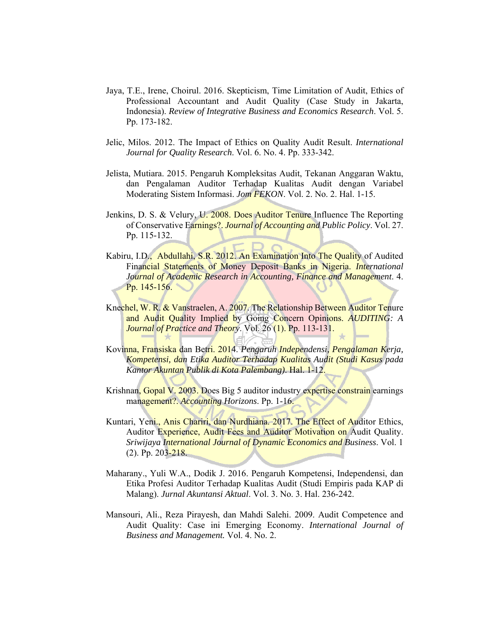- Jaya, T.E., Irene, Choirul. 2016. Skepticism, Time Limitation of Audit, Ethics of Professional Accountant and Audit Quality (Case Study in Jakarta, Indonesia). *Review of Integrative Business and Economics Research*. Vol. 5. Pp. 173-182.
- Jelic, Milos. 2012. The Impact of Ethics on Quality Audit Result. *International Journal for Quality Research*. Vol. 6. No. 4. Pp. 333-342.
- Jelista, Mutiara. 2015. Pengaruh Kompleksitas Audit, Tekanan Anggaran Waktu, dan Pengalaman Auditor Terhadap Kualitas Audit dengan Variabel Moderating Sistem Informasi. *Jom FEKON*. Vol. 2. No. 2. Hal. 1-15.
- Jenkins, D. S. & Velury, U. 2008. Does Auditor Tenure Influence The Reporting of Conservative Earnings?. *Journal of Accounting and Public Policy*. Vol. 27. Pp. 115-132.
- Kabiru, I.D., Abdullahi, S.R. 2012. An Examination Into The Quality of Audited Financial Statements of Money Deposit Banks in Nigeria. *International Journal of Academic Research in Accounting, Finance and Management*. 4. Pp. 145-156.
- Knechel, W. R. & Vanstraelen, A. 2007. The Relationship Between Auditor Tenure and Audit Quality Implied by Going Concern Opinions. *AUDITING: A Journal of Practice and Theory*. Vol. 26 (1). Pp. 113-131.
- Kovinna, Fransiska dan Betri. 2014. *Pengaruh Independensi, Pengalaman Kerja, Kompetensi, dan Etika Auditor Terhadap Kualitas Audit (Studi Kasus pada Kantor Akuntan Publik di Kota Palembang)*. Hal. 1-12.
- Krishnan, Gopal V. 2003. Does Big 5 auditor industry expertise constrain earnings management?. *Accounting Horizons*. Pp. 1-16.
- Kuntari, Yeni., Anis Chariri, dan Nurdhiana. 2017. The Effect of Auditor Ethics, Auditor Experience, Audit Fees and Auditor Motivation on Audit Quality. *Sriwijaya International Journal of Dynamic Economics and Business*. Vol. 1 (2). Pp. 203-218.
- Maharany., Yuli W.A., Dodik J. 2016. Pengaruh Kompetensi, Independensi, dan Etika Profesi Auditor Terhadap Kualitas Audit (Studi Empiris pada KAP di Malang). *Jurnal Akuntansi Aktual*. Vol. 3. No. 3. Hal. 236-242.
- Mansouri, Ali., Reza Pirayesh, dan Mahdi Salehi. 2009. Audit Competence and Audit Quality: Case ini Emerging Economy. *International Journal of Business and Management.* Vol. 4. No. 2.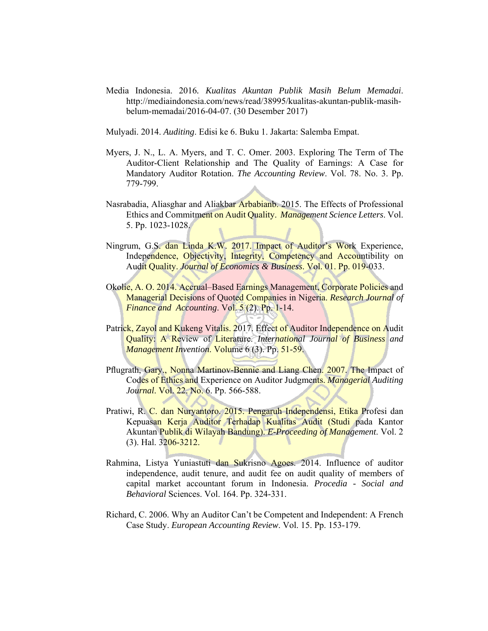Media Indonesia. 2016*. Kualitas Akuntan Publik Masih Belum Memadai*. http://mediaindonesia.com/news/read/38995/kualitas-akuntan-publik-masihbelum-memadai/2016-04-07. (30 Desember 2017)

Mulyadi. 2014. *Auditing*. Edisi ke 6. Buku 1. Jakarta: Salemba Empat.

- Myers, J. N., L. A. Myers, and T. C. Omer. 2003. Exploring The Term of The Auditor-Client Relationship and The Quality of Earnings: A Case for Mandatory Auditor Rotation. *The Accounting Review*. Vol. 78. No. 3. Pp. 779-799.
- Nasrabadia, Aliasghar and Aliakbar Arbabianb. 2015. The Effects of Professional Ethics and Commitment on Audit Quality. *Management Science Letters*. Vol. 5. Pp. 1023-1028.
- Ningrum, G.S. dan Linda K.W. 2017. Impact of Auditor's Work Experience, Independence, Objectivity, Integrity, Competency and Accountibility on Audit Quality. *Journal of Economics & Business*. Vol. 01. Pp. 019-033.
- Okolie, A. O. 2014. Accrual–Based Earnings Management, Corporate Policies and Managerial Decisions of Quoted Companies in Nigeria. *Research Journal of Finance and Accounting*. Vol. 5 (2). Pp. 1-14.
- Patrick, Zayol and Kukeng Vitalis. 2017. Effect of Auditor Independence on Audit Quality: A Review of Literature. *International Journal of Business and Management Invention*. Volume 6 (3). Pp. 51-59.
- Pflugrath, Gary., Nonna Martinov-Bennie and Liang Chen. 2007. The Impact of Codes of Ethics and Experience on Auditor Judgments. *Managerial Auditing Journal.* Vol. 22. No. 6. Pp. 566-588.
- Pratiwi, R. C. dan Nuryantoro. 2015. Pengaruh Independensi, Etika Profesi dan Kepuasan Kerja Auditor Terhadap Kualitas Audit (Studi pada Kantor Akuntan Publik di Wilayah Bandung). *E-Proceeding of Management*. Vol. 2 (3). Hal. 3206-3212.
- Rahmina, Listya Yuniastuti dan Sukrisno Agoes. 2014. Influence of auditor independence, audit tenure, and audit fee on audit quality of members of capital market accountant forum in Indonesia. *Procedia - Social and Behavioral* Sciences. Vol. 164. Pp. 324-331.
- Richard, C. 2006. Why an Auditor Can't be Competent and Independent: A French Case Study. *European Accounting Review*. Vol. 15. Pp. 153-179.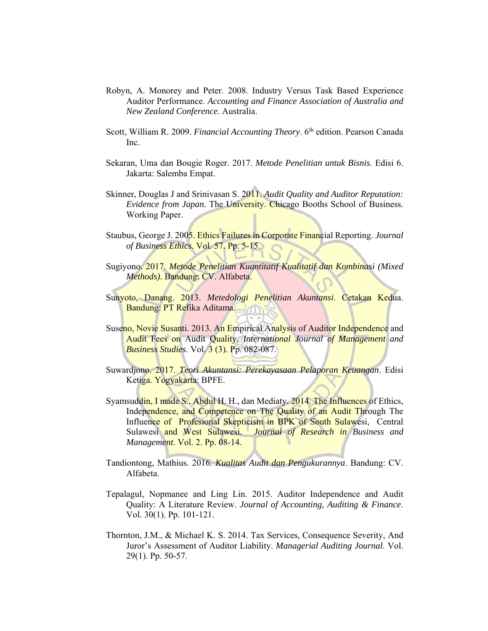- Robyn, A. Monorey and Peter. 2008. Industry Versus Task Based Experience Auditor Performance. *Accounting and Finance Association of Australia and New Zealand Conference*. Australia.
- Scott, William R. 2009. *Financial Accounting Theory*. 6<sup>th</sup> edition. Pearson Canada Inc.
- Sekaran, Uma dan Bougie Roger. 2017. *Metode Penelitian untuk Bisnis*. Edisi 6. Jakarta: Salemba Empat.
- Skinner, Douglas J and Srinivasan S. 2011. *Audit Quality and Auditor Reputation: Evidence from Japan.* The University. Chicago Booths School of Business. Working Paper.
- Staubus, George J. 2005. Ethics Failures in Corporate Financial Reporting. *Journal of Business Ethics*. Vol. 57. Pp. 5-15.
- Sugiyono. 2017. *Metode Penelitian Kuantitatif Kualitatif dan Kombinasi (Mixed Methods)*. Bandung: CV. Alfabeta.
- Sunyoto, Danang. 2013. *Metedologi Penelitian Akuntansi*. Cetakan Kedua. Bandung: PT Refika Aditama.
- Suseno, Novie Susanti. 2013. An Empirical Analysis of Auditor Independence and Audit Fees on Audit Quality. *International Journal of Management and Business Studies*. Vol. 3 (3). Pp. 082-087.
- Suwardjono. 2017. *Teori Akuntansi: Perekayasaan Pelaporan Keuangan*. Edisi Ketiga. Yogyakarta: BPFE.
- Syamsuddin, I made S., Abdul H. H., dan Mediaty. 2014. The Influences of Ethics, Independence, and Competence on The Quality of an Audit Through The Influence of Profesional Skepticism in BPK of South Sulawesi, Central Sulawesi and West Sulawesi*. Journal of Research in Business and Management*. Vol. 2. Pp. 08-14.
- Tandiontong, Mathius. 2016. *Kualitas Audit dan Pengukurannya*. Bandung: CV. Alfabeta.
- Tepalagul, Nopmanee and Ling Lin. 2015. Auditor Independence and Audit Quality: A Literature Review. *Journal of Accounting, Auditing & Finance*. Vol. 30(1). Pp. 101-121.
- Thornton, J.M., & Michael K. S. 2014. Tax Services, Consequence Severity, And Juror's Assessment of Auditor Liability. *Managerial Auditing Journal*. Vol. 29(1). Pp. 50-57.